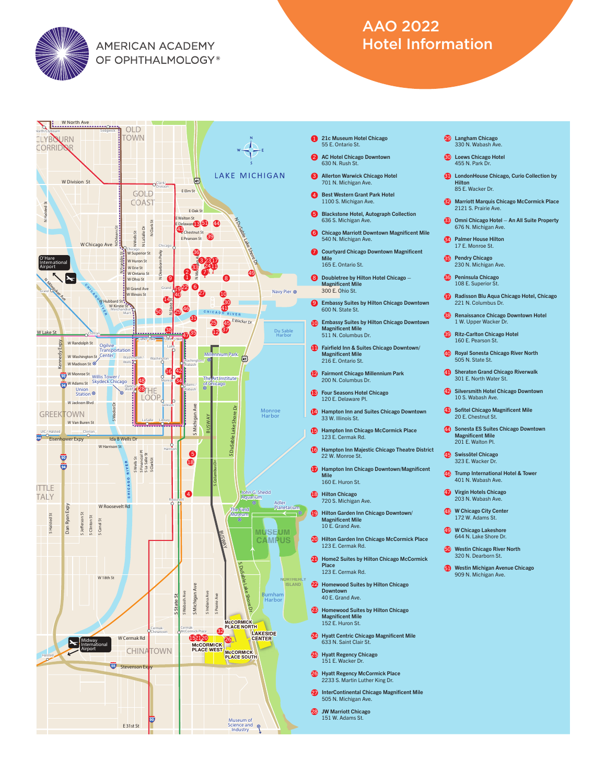

**AMERICAN ACADEMY** OF OPHTHALMOLOGY®

## AAO 2022 Hotel Information



- 1 21c Museum Hotel Chicago 55 E. Ontario St.
- AC Hotel Chicago Downtown 630 N. Rush St.  $\Omega$
- **3** Allerton Warwick Chicago Hotel 701 N. Michigan Ave.
- 4 Best Western Grant Park Hotel 1100 S. Michigan Ave.
- 5 Blackstone Hotel, Autograph Collection 636 S. Michigan Ave.
- **6** Chicago Marriott Downtown Magnificent Mile 540 N. Michigan Ave. **7** Courtyard Chicago Downtown Magnificent
- Mile 165 E. Ontario St.
- 8 Doubletree by Hilton Hotel Chicago -Magnificent Mile 300 E. Ohio St.
- **9** Embassy Suites by Hilton Chicago Downtown 600 N. State St.
- **10** Embassy Suites by Hilton Chicago Downtown Magnificent Mile 511 N. Columbus Dr.
- **11** Fairfield Inn & Suites Chicago Downtown/ Magnificent Mile 216 E. Ontario St.
- **12** Fairmont Chicago Millennium Park 200 N. Columbus Dr.
- **13** Four Seasons Hotel Chicago 120 E. Delaware Pl.
- 14 Hampton Inn and Suites Chicago Downtown 33 W. Illinois St.
- **15** Hampton Inn Chicago McCormick Place 123 E. Cermak Rd.
- **16** Hampton Inn Majestic Chicago Theatre District 22 W. Monroe St.
- **Hampton Inn Chicago Downtown/Magnificent** Mile 160 E. Huron St.
- **18** Hilton Chicago 720 S. Michigan Ave.
- **19** Hilton Garden Inn Chicago Downtown/ Magnificent Mile 10 E. Grand Ave.
- 20 Hilton Garden Inn Chicago McCormick Place 123 E. Cermak Rd.
- **21** Home2 Suites by Hilton Chicago McCormick Place 123 E. Cermak Rd.
- 22 Homewood Suites by Hilton Chicago Downtown 40 E. Grand Ave.
- 23 Homewood Suites by Hilton Chicago<br>Magnificent Mile 152 E. Huron St.
- 24 Hyatt Centric Chicago Magnificent Mile 633 N. Saint Clair St.
- 25 Hyatt Regency Chicago<br>151 E. Wacker Dr.
- 26 Hyatt Regency McCormick Place 2233 S. Martin Luther King Dr.
- 27 InterContinental Chicago Magnificent Mile<br>505 N. Michigan Ave.
- 28 JW Marriott Chicago 151 W. Adams St.
- 29 Langham Chicago<br>330 N. Wabash Ave.
- Loews Chicago Hotel 30 455 N. Park Dr.
- **31** LondonHouse Chicago, Curio Collection by Hilton 85 E. Wacker Dr.
- 32 Marriott Marquis Chicago McCormick Place 2121 S. Prairie Ave.
- Omni Chicago Hotel An All Suite Property 676 N. Michigan Ave. **33**
- Palmer House Hilton 34 17 E. Monroe St.
- 35 Pendry Chicago<br>230 N. Michigan Ave.
- **36** Peninsula Chicago 108 E. Superior St.
- **37** Radisson Blu Aqua Chicago Hotel, Chicago 221 N. Columbus D
- **38** Renaissance Chicago Downtown Hotel 1 W. Upper Wacker Dr.
- **39** Ritz-Carlton Chicago Hotel 160 E. Pearson St.
- **Royal Sonesta Chicago River North** 505 N. State St.
- **41** Sheraton Grand Chicago Riverwalk 301 E. North Water St.
- 42 Silversmith Hotel Chicago Downtown<br>10 S. Wabash Ave.
- Sofitel Chicago Magnificent Mile 20 E. Chestnut St.
- 44 Sonesta ES Suites Chicago Downtown Magnificent Mile 201 E. Walton Pl.
- 45 Swissôtel Chicago 323 E. Wacker Dr.
- 46 Trump International Hotel & Tower<br>401 N. Wabash Ave.
- Virgin Hotels Chicago 203 N. Wabash Ave.
- **48** W Chicago City Center 172 W. Adams St.
- **49** W Chicago Lakeshore<br>644 N. Lake Shore Dr.
- Westin Chicago River North 50 320 N. Dearborn St.
- 51 Westin Michigan Avenue Chicago 909 N. Michigan Ave.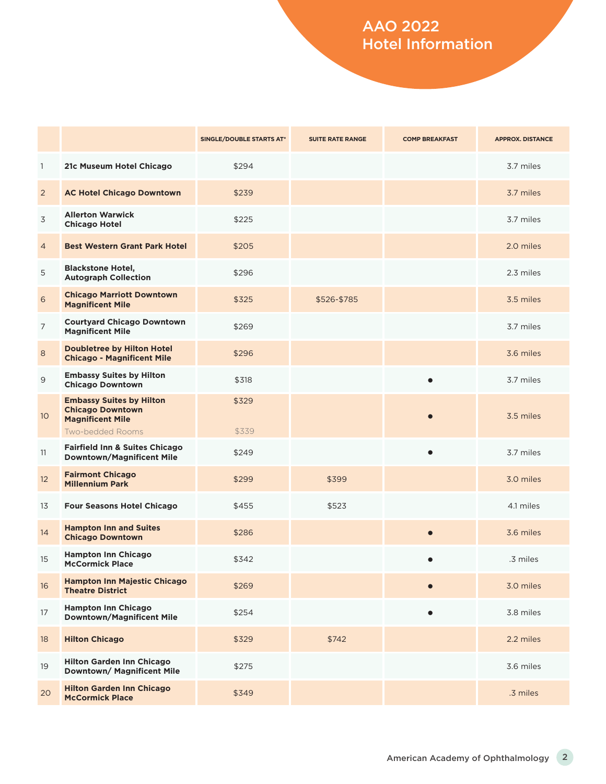## AAO 2022 Hotel Information

|                 |                                                                                                           | SINGLE/DOUBLE STARTS AT* | <b>SUITE RATE RANGE</b> | <b>COMP BREAKFAST</b> | <b>APPROX. DISTANCE</b> |
|-----------------|-----------------------------------------------------------------------------------------------------------|--------------------------|-------------------------|-----------------------|-------------------------|
| $\mathbf{1}$    | 21c Museum Hotel Chicago                                                                                  | \$294                    |                         |                       | 3.7 miles               |
| $\overline{2}$  | <b>AC Hotel Chicago Downtown</b>                                                                          | \$239                    |                         |                       | 3.7 miles               |
| 3               | <b>Allerton Warwick</b><br><b>Chicago Hotel</b>                                                           | \$225                    |                         |                       | 3.7 miles               |
| $\overline{4}$  | <b>Best Western Grant Park Hotel</b>                                                                      | \$205                    |                         |                       | 2.0 miles               |
| 5               | <b>Blackstone Hotel,</b><br><b>Autograph Collection</b>                                                   | \$296                    |                         |                       | 2.3 miles               |
| 6               | <b>Chicago Marriott Downtown</b><br><b>Magnificent Mile</b>                                               | \$325                    | \$526-\$785             |                       | 3.5 miles               |
| $\overline{7}$  | <b>Courtyard Chicago Downtown</b><br><b>Magnificent Mile</b>                                              | \$269                    |                         |                       | 3.7 miles               |
| $\,8\,$         | <b>Doubletree by Hilton Hotel</b><br><b>Chicago - Magnificent Mile</b>                                    | \$296                    |                         |                       | 3.6 miles               |
| $\overline{9}$  | <b>Embassy Suites by Hilton</b><br><b>Chicago Downtown</b>                                                | \$318                    |                         |                       | 3.7 miles               |
| 10 <sup>°</sup> | <b>Embassy Suites by Hilton</b><br><b>Chicago Downtown</b><br><b>Magnificent Mile</b><br>Two-bedded Rooms | \$329<br>\$339           |                         |                       | 3.5 miles               |
| 11              | <b>Fairfield Inn &amp; Suites Chicago</b><br><b>Downtown/Magnificent Mile</b>                             | \$249                    |                         |                       | 3.7 miles               |
| 12              | <b>Fairmont Chicago</b><br><b>Millennium Park</b>                                                         | \$299                    | \$399                   |                       | 3.0 miles               |
| 13              | <b>Four Seasons Hotel Chicago</b>                                                                         | \$455                    | \$523                   |                       | 4.1 miles               |
| 14              | <b>Hampton Inn and Suites</b><br><b>Chicago Downtown</b>                                                  | \$286                    |                         | $\bullet$             | 3.6 miles               |
| 15              | <b>Hampton Inn Chicago</b><br><b>McCormick Place</b>                                                      | \$342                    |                         |                       | .3 miles                |
| 16              | Hampton Inn Majestic Chicago<br><b>Theatre District</b>                                                   | \$269                    |                         |                       | 3.0 miles               |
| 17              | <b>Hampton Inn Chicago</b><br><b>Downtown/Magnificent Mile</b>                                            | \$254                    |                         | $\bullet$             | 3.8 miles               |
| 18              | <b>Hilton Chicago</b>                                                                                     | \$329                    | \$742                   |                       | 2.2 miles               |
| 19              | <b>Hilton Garden Inn Chicago</b><br>Downtown/ Magnificent Mile                                            | \$275                    |                         |                       | 3.6 miles               |
| 20              | <b>Hilton Garden Inn Chicago</b><br><b>McCormick Place</b>                                                | \$349                    |                         |                       | .3 miles                |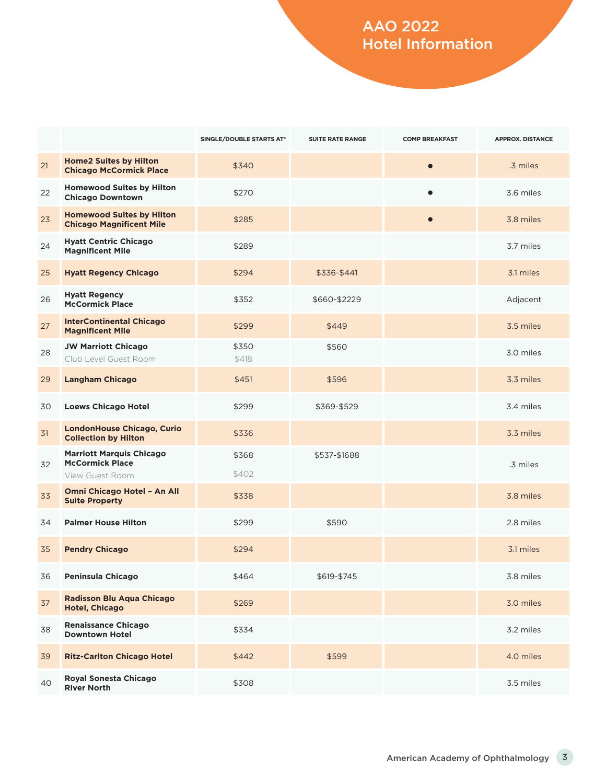## AAO 2022 Hotel Information

|    |                                                                              | SINGLE/DOUBLE STARTS AT* | <b>SUITE RATE RANGE</b> | <b>COMP BREAKFAST</b> | <b>APPROX. DISTANCE</b> |
|----|------------------------------------------------------------------------------|--------------------------|-------------------------|-----------------------|-------------------------|
| 21 | <b>Home2 Suites by Hilton</b><br><b>Chicago McCormick Place</b>              | \$340                    |                         | $\bullet$             | .3 miles                |
| 22 | <b>Homewood Suites by Hilton</b><br><b>Chicago Downtown</b>                  | \$270                    |                         |                       | 3.6 miles               |
| 23 | <b>Homewood Suites by Hilton</b><br><b>Chicago Magnificent Mile</b>          | \$285                    |                         | $\bullet$             | 3.8 miles               |
| 24 | <b>Hyatt Centric Chicago</b><br><b>Magnificent Mile</b>                      | \$289                    |                         |                       | 3.7 miles               |
| 25 | <b>Hyatt Regency Chicago</b>                                                 | \$294                    | \$336-\$441             |                       | 3.1 miles               |
| 26 | <b>Hyatt Regency</b><br><b>McCormick Place</b>                               | \$352                    | \$660-\$2229            |                       | Adjacent                |
| 27 | <b>InterContinental Chicago</b><br><b>Magnificent Mile</b>                   | \$299                    | \$449                   |                       | 3.5 miles               |
| 28 | <b>JW Marriott Chicago</b><br>Club Level Guest Room                          | \$350<br>\$418           | \$560                   |                       | 3.0 miles               |
| 29 | <b>Langham Chicago</b>                                                       | \$451                    | \$596                   |                       | 3.3 miles               |
| 30 | <b>Loews Chicago Hotel</b>                                                   | \$299                    | \$369-\$529             |                       | 3.4 miles               |
| 31 | <b>LondonHouse Chicago, Curio</b><br><b>Collection by Hilton</b>             | \$336                    |                         |                       | 3.3 miles               |
| 32 | <b>Marriott Marquis Chicago</b><br><b>McCormick Place</b><br>View Guest Room | \$368<br>\$402           | \$537-\$1688            |                       | .3 miles                |
| 33 | Omni Chicago Hotel - An All<br><b>Suite Property</b>                         | \$338                    |                         |                       | 3.8 miles               |
| 34 | <b>Palmer House Hilton</b>                                                   | \$299                    | \$590                   |                       | 2.8 miles               |
| 35 | <b>Pendry Chicago</b>                                                        | \$294                    |                         |                       | 3.1 miles               |
| 36 | Peninsula Chicago                                                            | \$464                    | \$619-\$745             |                       | 3.8 miles               |
| 37 | <b>Radisson Blu Aqua Chicago</b><br><b>Hotel, Chicago</b>                    | \$269                    |                         |                       | 3.0 miles               |
| 38 | <b>Renaissance Chicago</b><br><b>Downtown Hotel</b>                          | \$334                    |                         |                       | 3.2 miles               |
| 39 | <b>Ritz-Carlton Chicago Hotel</b>                                            | \$442                    | \$599                   |                       | 4.0 miles               |
| 40 | Royal Sonesta Chicago<br><b>River North</b>                                  | \$308                    |                         |                       | 3.5 miles               |